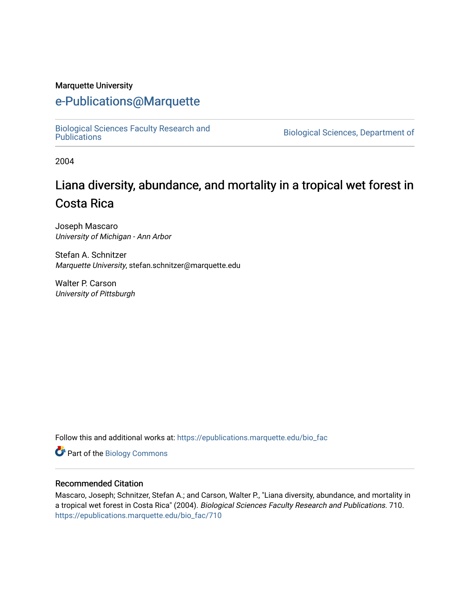#### Marquette University

## [e-Publications@Marquette](https://epublications.marquette.edu/)

[Biological Sciences Faculty Research and](https://epublications.marquette.edu/bio_fac) 

Biological Sciences, Department of

2004

# Liana diversity, abundance, and mortality in a tropical wet forest in Costa Rica

Joseph Mascaro University of Michigan - Ann Arbor

Stefan A. Schnitzer Marquette University, stefan.schnitzer@marquette.edu

Walter P. Carson University of Pittsburgh

Follow this and additional works at: [https://epublications.marquette.edu/bio\\_fac](https://epublications.marquette.edu/bio_fac?utm_source=epublications.marquette.edu%2Fbio_fac%2F710&utm_medium=PDF&utm_campaign=PDFCoverPages) 

**Part of the Biology Commons** 

#### Recommended Citation

Mascaro, Joseph; Schnitzer, Stefan A.; and Carson, Walter P., "Liana diversity, abundance, and mortality in a tropical wet forest in Costa Rica" (2004). Biological Sciences Faculty Research and Publications. 710. [https://epublications.marquette.edu/bio\\_fac/710](https://epublications.marquette.edu/bio_fac/710?utm_source=epublications.marquette.edu%2Fbio_fac%2F710&utm_medium=PDF&utm_campaign=PDFCoverPages)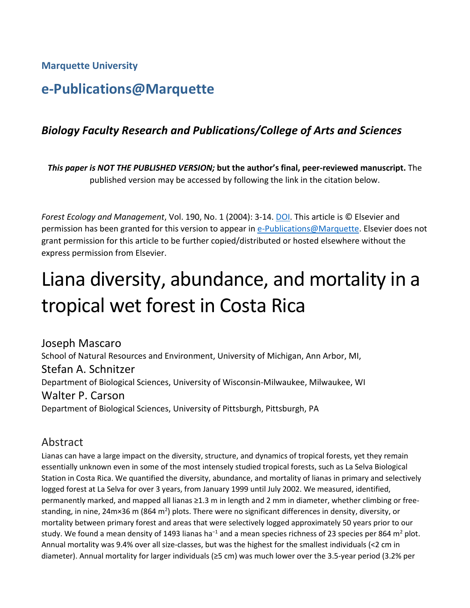**Marquette University**

# **e-Publications@Marquette**

## *Biology Faculty Research and Publications/College of Arts and Sciences*

*This paper is NOT THE PUBLISHED VERSION;* **but the author's final, peer-reviewed manuscript.** The published version may be accessed by following the link in the citation below.

*Forest Ecology and Management*, Vol. 190, No. 1 (2004): 3-14. [DOI.](https://dx.doi.org/10.1016/j.foreco.2003.10.002) This article is © Elsevier and permission has been granted for this version to appear in [e-Publications@Marquette.](http://epublications.marquette.edu/) Elsevier does not grant permission for this article to be further copied/distributed or hosted elsewhere without the express permission from Elsevier.

# Liana diversity, abundance, and mortality in a tropical wet forest in Costa Rica

[Joseph Mascaro](https://www.sciencedirect.com/science/article/pii/S0378112703004638?via%3Dihub#!) School of Natural Resources and Environment, University of Michigan, Ann Arbor, MI, [Stefan A. Schnitzer](https://www.sciencedirect.com/science/article/pii/S0378112703004638?via%3Dihub#!) Department of Biological Sciences, University of Wisconsin-Milwaukee, Milwaukee, WI [Walter P. Carson](https://www.sciencedirect.com/science/article/pii/S0378112703004638?via%3Dihub#!) Department of Biological Sciences, University of Pittsburgh, Pittsburgh, PA

## Abstract

Lianas can have a large impact on the diversity, structure, and dynamics of tropical forests, yet they remain essentially unknown even in some of the most intensely studied tropical forests, such as La Selva Biological Station in Costa Rica. We quantified the diversity, abundance, and mortality of lianas in primary and selectively logged forest at La Selva for over 3 years, from January 1999 until July 2002. We measured, identified, permanently marked, and mapped all lianas ≥1.3 m in length and 2 mm in diameter, whether climbing or freestanding, in nine, 24m×36 m (864 m<sup>2</sup>) plots. There were no significant differences in density, diversity, or mortality between primary forest and areas that were selectively logged approximately 50 years prior to our study. We found a mean density of 1493 lianas ha<sup>-1</sup> and a mean species richness of 23 species per 864 m<sup>2</sup> plot. Annual mortality was 9.4% over all size-classes, but was the highest for the smallest individuals (<2 cm in diameter). Annual mortality for larger individuals (≥5 cm) was much lower over the 3.5-year period (3.2% per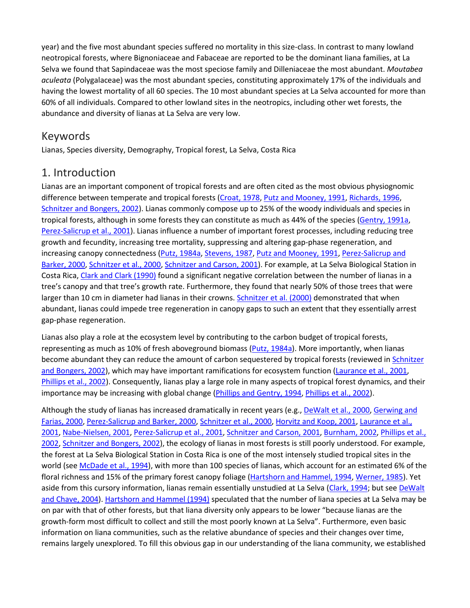year) and the five most abundant species suffered no mortality in this size-class. In contrast to many lowland neotropical forests, where Bignoniaceae and Fabaceae are reported to be the dominant liana families, at La Selva we found that Sapindaceae was the most speciose family and Dilleniaceae the most abundant. *Moutabea aculeata* (Polygalaceae) was the most abundant species, constituting approximately 17% of the individuals and having the lowest mortality of all 60 species. The 10 most abundant species at La Selva accounted for more than 60% of all individuals. Compared to other lowland sites in the neotropics, including other wet forests, the abundance and diversity of lianas at La Selva are very low.

## Keywords

Lianas, Species diversity, Demography, Tropical forest, La Selva, Costa Rica

## 1. Introduction

Lianas are an important component of tropical forests and are often cited as the most obvious physiognomic difference between temperate and tropical forests [\(Croat, 1978,](https://www.sciencedirect.com/science/article/pii/S0378112703004638?via%3Dihub#BIB6) [Putz and Mooney, 1991,](https://www.sciencedirect.com/science/article/pii/S0378112703004638?via%3Dihub#BIB31) [Richards, 1996,](https://www.sciencedirect.com/science/article/pii/S0378112703004638?via%3Dihub#BIB34) [Schnitzer and Bongers, 2002\)](https://www.sciencedirect.com/science/article/pii/S0378112703004638?via%3Dihub#BIB35). Lianas commonly compose up to 25% of the woody individuals and species in tropical forests, although in some forests they can constitute as much as 44% of the species [\(Gentry, 1991a,](https://www.sciencedirect.com/science/article/pii/S0378112703004638?via%3Dihub#BIB11) [Perez-Salicrup et al., 2001\)](https://www.sciencedirect.com/science/article/pii/S0378112703004638?via%3Dihub#BIB24). Lianas influence a number of important forest processes, including reducing tree growth and fecundity, increasing tree mortality, suppressing and altering gap-phase regeneration, and increasing canopy connectedness [\(Putz, 1984a,](https://www.sciencedirect.com/science/article/pii/S0378112703004638?via%3Dihub#BIB28) [Stevens, 1987,](https://www.sciencedirect.com/science/article/pii/S0378112703004638?via%3Dihub#BIB39) [Putz and Mooney, 1991,](https://www.sciencedirect.com/science/article/pii/S0378112703004638?via%3Dihub#BIB31) [Perez-Salicrup and](https://www.sciencedirect.com/science/article/pii/S0378112703004638?via%3Dihub#BIB23)  [Barker, 2000,](https://www.sciencedirect.com/science/article/pii/S0378112703004638?via%3Dihub#BIB23) [Schnitzer et al., 2000,](https://www.sciencedirect.com/science/article/pii/S0378112703004638?via%3Dihub#BIB37) [Schnitzer and Carson, 2001\)](https://www.sciencedirect.com/science/article/pii/S0378112703004638?via%3Dihub#BIB36). For example, at La Selva Biological Station in Costa Rica, [Clark and Clark \(1990\)](https://www.sciencedirect.com/science/article/pii/S0378112703004638?via%3Dihub#BIB3) found a significant negative correlation between the number of lianas in a tree's canopy and that tree's growth rate. Furthermore, they found that nearly 50% of those trees that were larger than 10 cm in diameter had lianas in their crowns. [Schnitzer et al. \(2000\)](https://www.sciencedirect.com/science/article/pii/S0378112703004638?via%3Dihub#BIB37) demonstrated that when abundant, lianas could impede tree regeneration in canopy gaps to such an extent that they essentially arrest gap-phase regeneration.

Lianas also play a role at the ecosystem level by contributing to the carbon budget of tropical forests, representing as much as 10% of fresh aboveground biomass [\(Putz, 1984a\)](https://www.sciencedirect.com/science/article/pii/S0378112703004638?via%3Dihub#BIB28). More importantly, when lianas become abundant they can reduce the amount of carbon sequestered by tropical forests (reviewed in [Schnitzer](https://www.sciencedirect.com/science/article/pii/S0378112703004638?via%3Dihub#BIB35)  [and Bongers, 2002\)](https://www.sciencedirect.com/science/article/pii/S0378112703004638?via%3Dihub#BIB35), which may have important ramifications for ecosystem function [\(Laurance et al., 2001,](https://www.sciencedirect.com/science/article/pii/S0378112703004638?via%3Dihub#BIB17) [Phillips et al., 2002\)](https://www.sciencedirect.com/science/article/pii/S0378112703004638?via%3Dihub#BIB26). Consequently, lianas play a large role in many aspects of tropical forest dynamics, and their importance may be increasing with global change [\(Phillips and Gentry, 1994,](https://www.sciencedirect.com/science/article/pii/S0378112703004638?via%3Dihub#BIB25) [Phillips et al., 2002\)](https://www.sciencedirect.com/science/article/pii/S0378112703004638?via%3Dihub#BIB26).

Although the study of lianas has increased dramatically in recent years (e.g., [DeWalt et al., 2000,](https://www.sciencedirect.com/science/article/pii/S0378112703004638?via%3Dihub#BIB8) [Gerwing and](https://www.sciencedirect.com/science/article/pii/S0378112703004638?via%3Dihub#BIB13)  [Farias, 2000,](https://www.sciencedirect.com/science/article/pii/S0378112703004638?via%3Dihub#BIB13) [Perez-Salicrup and Barker, 2000,](https://www.sciencedirect.com/science/article/pii/S0378112703004638?via%3Dihub#BIB23) [Schnitzer et al., 2000,](https://www.sciencedirect.com/science/article/pii/S0378112703004638?via%3Dihub#BIB37) [Horvitz and Koop, 2001,](https://www.sciencedirect.com/science/article/pii/S0378112703004638?via%3Dihub#BIB16) [Laurance et al.,](https://www.sciencedirect.com/science/article/pii/S0378112703004638?via%3Dihub#BIB17)  [2001,](https://www.sciencedirect.com/science/article/pii/S0378112703004638?via%3Dihub#BIB17) [Nabe-Nielsen, 2001,](https://www.sciencedirect.com/science/article/pii/S0378112703004638?via%3Dihub#BIB22) [Perez-Salicrup et al., 2001,](https://www.sciencedirect.com/science/article/pii/S0378112703004638?via%3Dihub#BIB24) [Schnitzer and Carson, 2001,](https://www.sciencedirect.com/science/article/pii/S0378112703004638?via%3Dihub#BIB36) [Burnham, 2002,](https://www.sciencedirect.com/science/article/pii/S0378112703004638?via%3Dihub#BIB1) [Phillips et al.,](https://www.sciencedirect.com/science/article/pii/S0378112703004638?via%3Dihub#BIB26)  [2002,](https://www.sciencedirect.com/science/article/pii/S0378112703004638?via%3Dihub#BIB26) [Schnitzer and Bongers, 2002\)](https://www.sciencedirect.com/science/article/pii/S0378112703004638?via%3Dihub#BIB35), the ecology of lianas in most forests is still poorly understood. For example, the forest at La Selva Biological Station in Costa Rica is one of the most intensely studied tropical sites in the world (se[e McDade et al., 1994\)](https://www.sciencedirect.com/science/article/pii/S0378112703004638?via%3Dihub#BIB21), with more than 100 species of lianas, which account for an estimated 6% of the floral richness and 15% of the primary forest canopy foliage [\(Hartshorn and Hammel, 1994,](https://www.sciencedirect.com/science/article/pii/S0378112703004638?via%3Dihub#BIB14) [Werner, 1985\)](https://www.sciencedirect.com/science/article/pii/S0378112703004638?via%3Dihub#BIB40). Yet aside from this cursory information, lianas remain essentially unstudied at La Selva [\(Clark, 1994;](https://www.sciencedirect.com/science/article/pii/S0378112703004638?via%3Dihub#BIB2) but see [DeWalt](https://www.sciencedirect.com/science/article/pii/S0378112703004638?via%3Dihub#BIB7)  [and Chave, 2004\)](https://www.sciencedirect.com/science/article/pii/S0378112703004638?via%3Dihub#BIB7). [Hartshorn and Hammel \(1994\)](https://www.sciencedirect.com/science/article/pii/S0378112703004638?via%3Dihub#BIB14) speculated that the number of liana species at La Selva may be on par with that of other forests, but that liana diversity only appears to be lower "because lianas are the growth-form most difficult to collect and still the most poorly known at La Selva". Furthermore, even basic information on liana communities, such as the relative abundance of species and their changes over time, remains largely unexplored. To fill this obvious gap in our understanding of the liana community, we established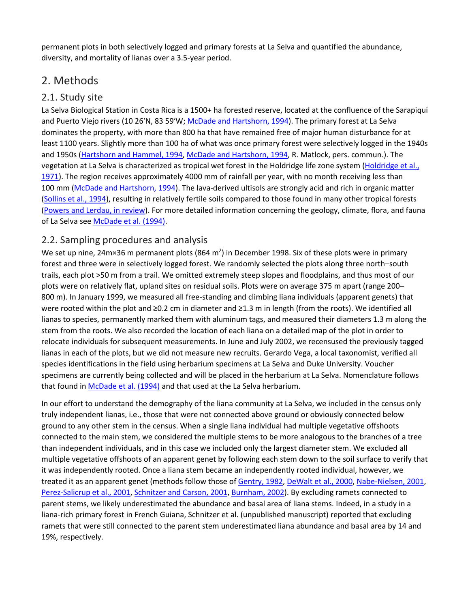permanent plots in both selectively logged and primary forests at La Selva and quantified the abundance, diversity, and mortality of lianas over a 3.5-year period.

## 2. Methods

#### 2.1. Study site

La Selva Biological Station in Costa Rica is a 1500+ ha forested reserve, located at the confluence of the Sarapiquí and Puerto Viejo rivers (10 26′N, 83 59′W; [McDade and Hartshorn, 1994\)](https://www.sciencedirect.com/science/article/pii/S0378112703004638?via%3Dihub#BIB20). The primary forest at La Selva dominates the property, with more than 800 ha that have remained free of major human disturbance for at least 1100 years. Slightly more than 100 ha of what was once primary forest were selectively logged in the 1940s and 1950s [\(Hartshorn and Hammel, 1994,](https://www.sciencedirect.com/science/article/pii/S0378112703004638?via%3Dihub#BIB14) [McDade and Hartshorn, 1994,](https://www.sciencedirect.com/science/article/pii/S0378112703004638?via%3Dihub#BIB20) R. Matlock, pers. commun.). The vegetation at La Selva is characterized as tropical wet forest in the Holdridge life zone system [\(Holdridge et al.,](https://www.sciencedirect.com/science/article/pii/S0378112703004638?via%3Dihub#BIB15)  [1971\)](https://www.sciencedirect.com/science/article/pii/S0378112703004638?via%3Dihub#BIB15). The region receives approximately 4000 mm of rainfall per year, with no month receiving less than 100 mm [\(McDade and Hartshorn, 1994\)](https://www.sciencedirect.com/science/article/pii/S0378112703004638?via%3Dihub#BIB20). The lava-derived ultisols are strongly acid and rich in organic matter [\(Sollins et al., 1994\)](https://www.sciencedirect.com/science/article/pii/S0378112703004638?via%3Dihub#BIB38), resulting in relatively fertile soils compared to those found in many other tropical forests [\(Powers and Lerdau, in review\)](https://www.sciencedirect.com/science/article/pii/S0378112703004638?via%3Dihub#BIB27). For more detailed information concerning the geology, climate, flora, and fauna of La Selva se[e McDade et al. \(1994\).](https://www.sciencedirect.com/science/article/pii/S0378112703004638?via%3Dihub#BIB21)

#### 2.2. Sampling procedures and analysis

We set up nine, 24m×36 m permanent plots (864 m<sup>2</sup>) in December 1998. Six of these plots were in primary forest and three were in selectively logged forest. We randomly selected the plots along three north–south trails, each plot >50 m from a trail. We omitted extremely steep slopes and floodplains, and thus most of our plots were on relatively flat, upland sites on residual soils. Plots were on average 375 m apart (range 200– 800 m). In January 1999, we measured all free-standing and climbing liana individuals (apparent genets) that were rooted within the plot and ≥0.2 cm in diameter and ≥1.3 m in length (from the roots). We identified all lianas to species, permanently marked them with aluminum tags, and measured their diameters 1.3 m along the stem from the roots. We also recorded the location of each liana on a detailed map of the plot in order to relocate individuals for subsequent measurements. In June and July 2002, we recensused the previously tagged lianas in each of the plots, but we did not measure new recruits. Gerardo Vega, a local taxonomist, verified all species identifications in the field using herbarium specimens at La Selva and Duke University. Voucher specimens are currently being collected and will be placed in the herbarium at La Selva. Nomenclature follows that found i[n McDade et al. \(1994\)](https://www.sciencedirect.com/science/article/pii/S0378112703004638?via%3Dihub#BIB21) and that used at the La Selva herbarium.

In our effort to understand the demography of the liana community at La Selva, we included in the census only truly independent lianas, i.e., those that were not connected above ground or obviously connected below ground to any other stem in the census. When a single liana individual had multiple vegetative offshoots connected to the main stem, we considered the multiple stems to be more analogous to the branches of a tree than independent individuals, and in this case we included only the largest diameter stem. We excluded all multiple vegetative offshoots of an apparent genet by following each stem down to the soil surface to verify that it was independently rooted. Once a liana stem became an independently rooted individual, however, we treated it as an apparent genet (methods follow those o[f Gentry,](https://www.sciencedirect.com/science/article/pii/S0378112703004638?via%3Dihub#BIB10) 1982, [DeWalt et al., 2000,](https://www.sciencedirect.com/science/article/pii/S0378112703004638?via%3Dihub#BIB8) [Nabe-Nielsen, 2001,](https://www.sciencedirect.com/science/article/pii/S0378112703004638?via%3Dihub#BIB22) [Perez-Salicrup et al., 2001,](https://www.sciencedirect.com/science/article/pii/S0378112703004638?via%3Dihub#BIB24) Schnitzer [and Carson, 2001,](https://www.sciencedirect.com/science/article/pii/S0378112703004638?via%3Dihub#BIB36) [Burnham, 2002\)](https://www.sciencedirect.com/science/article/pii/S0378112703004638?via%3Dihub#BIB1). By excluding ramets connected to parent stems, we likely underestimated the abundance and basal area of liana stems. Indeed, in a study in a liana-rich primary forest in French Guiana, Schnitzer et al. (unpublished manuscript) reported that excluding ramets that were still connected to the parent stem underestimated liana abundance and basal area by 14 and 19%, respectively.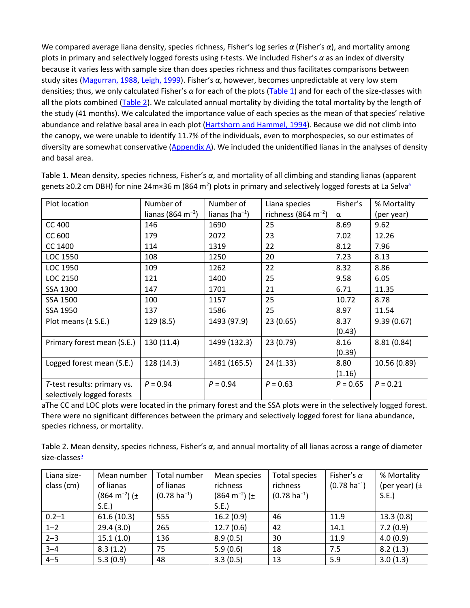We compared average liana density, species richness, Fisher's log series *α* (Fisher's *α*), and mortality among plots in primary and selectively logged forests using *t*-tests. We included Fisher's *α* as an index of diversity because it varies less with sample size than does species richness and thus facilitates comparisons between study sites [\(Magurran, 1988,](https://www.sciencedirect.com/science/article/pii/S0378112703004638?via%3Dihub#BIB19) [Leigh, 1999\)](https://www.sciencedirect.com/science/article/pii/S0378112703004638?via%3Dihub#BIB18). Fisher's *α*, however, becomes unpredictable at very low stem densities; thus, we only calculated Fisher's *α* for each of the plots [\(Table 1\)](https://www.sciencedirect.com/science/article/pii/S0378112703004638?via%3Dihub#TBL1) and for each of the size-classes with all the plots combined [\(Table 2\)](https://www.sciencedirect.com/science/article/pii/S0378112703004638?via%3Dihub#TBL2). We calculated annual mortality by dividing the total mortality by the length of the study (41 months). We calculated the importance value of each species as the mean of that species' relative abundance and relative basal area in each plot [\(Hartshorn and Hammel, 1994\)](https://www.sciencedirect.com/science/article/pii/S0378112703004638?via%3Dihub#BIB14). Because we did not climb into the canopy, we were unable to identify 11.7% of the individuals, even to morphospecies, so our estimates of diversity are somewhat conservative  $(Appendix A)$ . We included the unidentified lianas in the analyses of density and basal area.

| Plot location               | Number of                     | Number of            | Liana species                   | Fisher's   | % Mortality  |
|-----------------------------|-------------------------------|----------------------|---------------------------------|------------|--------------|
|                             | lianas (864 m <sup>-2</sup> ) | lianas (ha $^{-1}$ ) | richness (864 m <sup>-2</sup> ) | α          | (per year)   |
| <b>CC 400</b>               | 146                           | 1690                 | 25                              | 8.69       | 9.62         |
| CC 600                      | 179                           | 2072                 | 23                              | 7.02       | 12.26        |
| CC 1400                     | 114                           | 1319                 | 22                              | 8.12       | 7.96         |
| LOC 1550                    | 108                           | 1250                 | 20                              | 7.23       | 8.13         |
| LOC 1950                    | 109                           | 1262                 | 22                              | 8.32       | 8.86         |
| LOC 2150                    | 121                           | 1400                 | 25                              | 9.58       | 6.05         |
| SSA 1300                    | 147                           | 1701                 | 21                              | 6.71       | 11.35        |
| SSA 1500                    | 100                           | 1157                 | 25                              | 10.72      | 8.78         |
| SSA 1950                    | 137                           | 1586                 | 25                              | 8.97       | 11.54        |
| Plot means $(\pm$ S.E.)     | 129(8.5)                      | 1493 (97.9)          | 23(0.65)                        | 8.37       | 9.39(0.67)   |
|                             |                               |                      |                                 | (0.43)     |              |
| Primary forest mean (S.E.)  | 130 (11.4)                    | 1499 (132.3)         | 23 (0.79)                       | 8.16       | 8.81(0.84)   |
|                             |                               |                      |                                 | (0.39)     |              |
| Logged forest mean (S.E.)   | 128 (14.3)                    | 1481 (165.5)         | 24(1.33)                        | 8.80       | 10.56 (0.89) |
|                             |                               |                      |                                 | (1.16)     |              |
| T-test results: primary vs. | $P = 0.94$                    | $P = 0.94$           | $P = 0.63$                      | $P = 0.65$ | $P = 0.21$   |
| selectively logged forests  |                               |                      |                                 |            |              |

Table 1. Mean density, species richness, Fisher's *α*, and mortality of all climbing and standing lianas (apparent genets ≥0.2 cm DBH) for nine 24m×36 m (864 m<sup>2</sup>) plots in primary and selectively logged forests at La Selvaª

aThe CC and LOC plots were located in the primary forest and the SSA plots were in the selectively logged forest. There were no significant differences between the primary and selectively logged forest for liana abundance, species richness, or mortality.

Table 2. Mean density, species richness, Fisher's *α*, and annual mortality of all lianas across a range of diameter size-classes<sup>a</sup>

| Liana size- | Mean number                    | Total number             | Mean species                   | <b>Total species</b>     | Fisher's $\alpha$        | % Mortality       |
|-------------|--------------------------------|--------------------------|--------------------------------|--------------------------|--------------------------|-------------------|
| class (cm)  | of lianas                      | of lianas                | richness                       | richness                 | $(0.78 \text{ ha}^{-1})$ | (per year) $(\pm$ |
|             | $(864 \text{ m}^{-2})$ ( $\pm$ | $(0.78 \text{ ha}^{-1})$ | $(864 \text{ m}^{-2})$ ( $\pm$ | $(0.78 \text{ ha}^{-1})$ |                          | S.E.              |
|             | S.E.                           |                          | S.E.                           |                          |                          |                   |
| $0.2 - 1$   | 61.6(10.3)                     | 555                      | 16.2(0.9)                      | 46                       | 11.9                     | 13.3(0.8)         |
| $1 - 2$     | 29.4(3.0)                      | 265                      | 12.7(0.6)                      | 42                       | 14.1                     | 7.2(0.9)          |
| $2 - 3$     | 15.1(1.0)                      | 136                      | 8.9(0.5)                       | 30                       | 11.9                     | 4.0(0.9)          |
| $3 - 4$     | 8.3(1.2)                       | 75                       | 5.9(0.6)                       | 18                       | 7.5                      | 8.2(1.3)          |
| $4 - 5$     | 5.3(0.9)                       | 48                       | 3.3(0.5)                       | 13                       | 5.9                      | 3.0(1.3)          |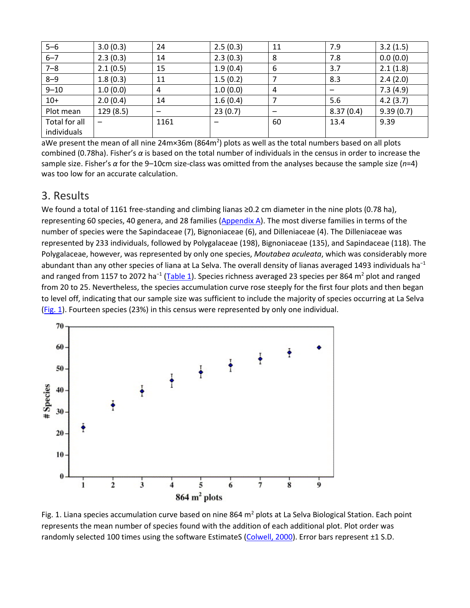| $5 - 6$       | 3.0(0.3)  | 24   | 2.5(0.3) | 11 | 7.9       | 3.2(1.5)  |
|---------------|-----------|------|----------|----|-----------|-----------|
| $6 - 7$       | 2.3(0.3)  | 14   | 2.3(0.3) | 8  | 7.8       | 0.0(0.0)  |
| $7 - 8$       | 2.1(0.5)  | 15   | 1.9(0.4) | 6  | 3.7       | 2.1(1.8)  |
| $8 - 9$       | 1.8(0.3)  | 11   | 1.5(0.2) |    | 8.3       | 2.4(2.0)  |
| $9 - 10$      | 1.0(0.0)  | 4    | 1.0(0.0) | 4  |           | 7.3(4.9)  |
| $10+$         | 2.0(0.4)  | 14   | 1.6(0.4) |    | 5.6       | 4.2(3.7)  |
| Plot mean     | 129 (8.5) |      | 23(0.7)  |    | 8.37(0.4) | 9.39(0.7) |
| Total for all |           | 1161 |          | 60 | 13.4      | 9.39      |
| individuals   |           |      |          |    |           |           |

aWe present the mean of all nine 24m×36m (864m<sup>2</sup>) plots as well as the total numbers based on all plots combined (0.78ha). Fisher's *α* is based on the total number of individuals in the census in order to increase the sample size. Fisher's *α* for the 9–10cm size-class was omitted from the analyses because the sample size (*n*=4) was too low for an accurate calculation.

#### 3. Results

We found a total of 1161 free-standing and climbing lianas ≥0.2 cm diameter in the nine plots (0.78 ha), representing 60 species, 40 genera, and 28 families [\(Appendix A\)](https://www.sciencedirect.com/science/article/pii/S0378112703004638?via%3Dihub#APP1). The most diverse families in terms of the number of species were the Sapindaceae (7), Bignoniaceae (6), and Dilleniaceae (4). The Dilleniaceae was represented by 233 individuals, followed by Polygalaceae (198), Bignoniaceae (135), and Sapindaceae (118). The Polygalaceae, however, was represented by only one species, *Moutabea aculeata*, which was considerably more abundant than any other species of liana at La Selva. The overall density of lianas averaged 1493 individuals ha<sup>−1</sup> and ranged from 1157 to 2072 ha<sup>-1</sup> [\(Table 1\)](https://www.sciencedirect.com/science/article/pii/S0378112703004638?via%3Dihub#TBL1). Species richness averaged 23 species per 864 m<sup>2</sup> plot and ranged from 20 to 25. Nevertheless, the species accumulation curve rose steeply for the first four plots and then began to level off, indicating that our sample size was sufficient to include the majority of species occurring at La Selva [\(Fig. 1\)](https://www.sciencedirect.com/science/article/pii/S0378112703004638?via%3Dihub#FIG1). Fourteen species (23%) in this census were represented by only one individual.



Fig. 1. Liana species accumulation curve based on nine 864  $m<sup>2</sup>$  plots at La Selva Biological Station. Each point represents the mean number of species found with the addition of each additional plot. Plot order was randomly selected 100 times using the software EstimateS [\(Colwell, 2000\)](https://www.sciencedirect.com/science/article/pii/S0378112703004638?via%3Dihub#BIB4). Error bars represent ±1 S.D.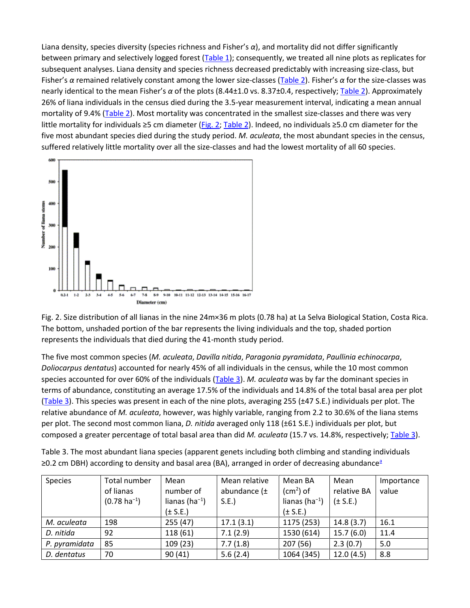Liana density, species diversity (species richness and Fisher's *α*), and mortality did not differ significantly between primary and selectively logged forest [\(Table 1\)](https://www.sciencedirect.com/science/article/pii/S0378112703004638?via%3Dihub#TBL1); consequently, we treated all nine plots as replicates for subsequent analyses. Liana density and species richness decreased predictably with increasing size-class, but Fisher's *α* remained relatively constant among the lower size-classes [\(Table 2\)](https://www.sciencedirect.com/science/article/pii/S0378112703004638?via%3Dihub#TBL2). Fisher's *α* for the size-classes was nearly identical to the mean Fisher's *α* of the plots (8.44±1.0 vs. 8.37±0.4, respectively[; Table 2\)](https://www.sciencedirect.com/science/article/pii/S0378112703004638?via%3Dihub#TBL2). Approximately 26% of liana individuals in the census died during the 3.5-year measurement interval, indicating a mean annual mortality of 9.4% [\(Table 2\)](https://www.sciencedirect.com/science/article/pii/S0378112703004638?via%3Dihub#TBL2). Most mortality was concentrated in the smallest size-classes and there was very little mortality for individuals ≥5 cm diameter [\(Fig. 2;](https://www.sciencedirect.com/science/article/pii/S0378112703004638?via%3Dihub#FIG2) [Table 2](https://www.sciencedirect.com/science/article/pii/S0378112703004638?via%3Dihub#TBL2)). Indeed, no individuals ≥5.0 cm diameter for the five most abundant species died during the study period. *M. aculeata*, the most abundant species in the census, suffered relatively little mortality over all the size-classes and had the lowest mortality of all 60 species.



Fig. 2. Size distribution of all lianas in the nine 24m×36 m plots (0.78 ha) at La Selva Biological Station, Costa Rica. The bottom, unshaded portion of the bar represents the living individuals and the top, shaded portion represents the individuals that died during the 41-month study period.

The five most common species (*M. aculeata*, *Davilla nitida*, *Paragonia pyramidata*, *Paullinia echinocarpa*, *Doliocarpus dentatus*) accounted for nearly 45% of all individuals in the census, while the 10 most common species accounted for over 60% of the individuals [\(Table 3\)](https://www.sciencedirect.com/science/article/pii/S0378112703004638?via%3Dihub#TBL3). *M. aculeata* was by far the dominant species in terms of abundance, constituting an average 17.5% of the individuals and 14.8% of the total basal area per plot [\(Table 3\)](https://www.sciencedirect.com/science/article/pii/S0378112703004638?via%3Dihub#TBL3). This species was present in each of the nine plots, averaging 255 (±47 S.E.) individuals per plot. The relative abundance of *M. aculeata*, however, was highly variable, ranging from 2.2 to 30.6% of the liana stems per plot. The second most common liana, *D. nitida* averaged only 118 (±61 S.E.) individuals per plot, but composed a greater percentage of total basal area than did *M. aculeata* (15.7 vs. 14.8%, respectively; [Table 3\)](https://www.sciencedirect.com/science/article/pii/S0378112703004638?via%3Dihub#TBL3).

Table 3. The most abundant liana species (apparent genets including both climbing and standing individuals ≥0.2 cm DBH) according to density and basal ar[ea](https://www.sciencedirect.com/science/article/pii/S0378112703004638?via%3Dihub#TBLFN3) (BA), arranged in order of decreasing abundance<sup>a</sup>

| <b>Species</b> | Total number             | Mean                 | Mean relative    | Mean BA              | Mean         | Importance |
|----------------|--------------------------|----------------------|------------------|----------------------|--------------|------------|
|                | of lianas                | number of            | abundance $(\pm$ | $(cm2)$ of           | relative BA  | value      |
|                | $(0.78 \text{ ha}^{-1})$ | lianas (ha $^{-1}$ ) | S.E.             | lianas (ha $^{-1}$ ) | $(\pm$ S.E.) |            |
|                |                          | $(\pm$ S.E.)         |                  | $(\pm$ S.E.)         |              |            |
| M. aculeata    | 198                      | 255(47)              | 17.1(3.1)        | 1175 (253)           | 14.8(3.7)    | 16.1       |
| D. nitida      | 92                       | 118(61)              | 7.1(2.9)         | 1530 (614)           | 15.7(6.0)    | 11.4       |
| P. pyramidata  | 85                       | 109(23)              | 7.7(1.8)         | 207(56)              | 2.3(0.7)     | 5.0        |
| D. dentatus    | 70                       | 90(41)               | 5.6(2.4)         | 1064 (345)           | 12.0(4.5)    | 8.8        |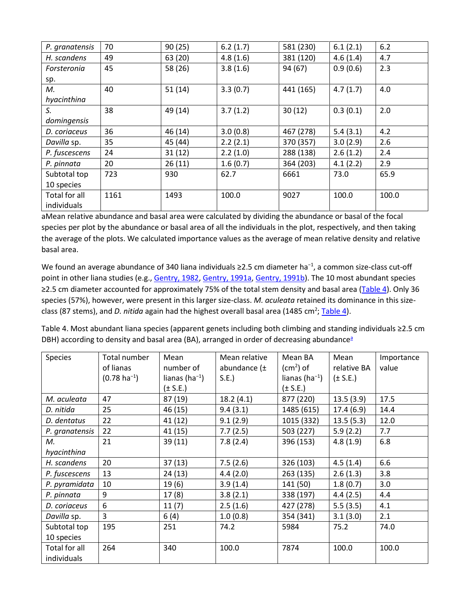| P. granatensis     | 70   | 90(25)  | 6.2(1.7) | 581 (230) | 6.1(2.1) | $6.2$ |
|--------------------|------|---------|----------|-----------|----------|-------|
| H. scandens        | 49   | 63 (20) | 4.8(1.6) | 381 (120) | 4.6(1.4) | 4.7   |
| <b>Forsteronia</b> | 45   | 58 (26) | 3.8(1.6) | 94 (67)   | 0.9(0.6) | 2.3   |
| sp.                |      |         |          |           |          |       |
| М.                 | 40   | 51(14)  | 3.3(0.7) | 441 (165) | 4.7(1.7) | 4.0   |
| hyacinthina        |      |         |          |           |          |       |
| S.                 | 38   | 49 (14) | 3.7(1.2) | 30(12)    | 0.3(0.1) | 2.0   |
| domingensis        |      |         |          |           |          |       |
| D. coriaceus       | 36   | 46 (14) | 3.0(0.8) | 467 (278) | 5.4(3.1) | 4.2   |
| Davilla sp.        | 35   | 45 (44) | 2.2(2.1) | 370 (357) | 3.0(2.9) | 2.6   |
| P. fuscescens      | 24   | 31(12)  | 2.2(1.0) | 288 (138) | 2.6(1.2) | 2.4   |
| P. pinnata         | 20   | 26(11)  | 1.6(0.7) | 364 (203) | 4.1(2.2) | 2.9   |
| Subtotal top       | 723  | 930     | 62.7     | 6661      | 73.0     | 65.9  |
| 10 species         |      |         |          |           |          |       |
| Total for all      | 1161 | 1493    | 100.0    | 9027      | 100.0    | 100.0 |
| individuals        |      |         |          |           |          |       |

aMean relative abundance and basal area were calculated by dividing the abundance or basal of the focal species per plot by the abundance or basal area of all the individuals in the plot, respectively, and then taking the average of the plots. We calculated importance values as the average of mean relative density and relative basal area.

We found an average abundance of 340 liana individuals ≥2.5 cm diameter ha<sup>-1</sup>, a common size-class cut-off point in other liana studies (e.g., [Gentry, 1982,](https://www.sciencedirect.com/science/article/pii/S0378112703004638?via%3Dihub#BIB10) [Gentry, 1991a,](https://www.sciencedirect.com/science/article/pii/S0378112703004638?via%3Dihub#BIB11) [Gentry, 1991b\)](https://www.sciencedirect.com/science/article/pii/S0378112703004638?via%3Dihub#BIB12). The 10 most abundant species ≥2.5 cm diameter accounted for approximately 75% of the total stem density and basal area [\(Table 4\)](https://www.sciencedirect.com/science/article/pii/S0378112703004638?via%3Dihub#TBL4). Only 36 species (57%), however, were present in this larger size-class. *M. aculeata* retained its dominance in this sizeclass (87 stems), and *D. nitida* again had the highest overall basal area (1485 cm<sup>2</sup>; [Table 4\)](https://www.sciencedirect.com/science/article/pii/S0378112703004638?via%3Dihub#TBL4).

Table 4. Most abundant liana species (apparent genets including both climbing and standing individuals ≥2.5 cm DBH) according to density and basal ar[ea](https://www.sciencedirect.com/science/article/pii/S0378112703004638?via%3Dihub#TBLFN4) (BA), arranged in order of decreasing abundance<sup>a</sup>

| <b>Species</b> | Total number             | Mean                 | Mean relative    | Mean BA              | Mean         | Importance |
|----------------|--------------------------|----------------------|------------------|----------------------|--------------|------------|
|                | of lianas                | number of            | abundance $(\pm$ | $(cm2)$ of           | relative BA  | value      |
|                | $(0.78 \text{ ha}^{-1})$ | lianas (ha $^{-1}$ ) | S.E.             | lianas (ha $^{-1}$ ) | $(\pm$ S.E.) |            |
|                |                          | $(\pm$ S.E.)         |                  | $(\pm$ S.E.)         |              |            |
| M. aculeata    | 47                       | 87 (19)              | 18.2(4.1)        | 877 (220)            | 13.5(3.9)    | 17.5       |
| D. nitida      | 25                       | 46 (15)              | 9.4(3.1)         | 1485 (615)           | 17.4(6.9)    | 14.4       |
| D. dentatus    | 22                       | 41 (12)              | 9.1(2.9)         | 1015 (332)           | 13.5(5.3)    | 12.0       |
| P. granatensis | 22                       | 41 (15)              | 7.7(2.5)         | 503 (227)            | 5.9(2.2)     | 7.7        |
| М.             | 21                       | 39(11)               | 7.8(2.4)         | 396 (153)            | 4.8(1.9)     | 6.8        |
| hyacinthina    |                          |                      |                  |                      |              |            |
| H. scandens    | 20                       | 37(13)               | 7.5(2.6)         | 326 (103)            | 4.5(1.4)     | 6.6        |
| P. fuscescens  | 13                       | 24(13)               | 4.4(2.0)         | 263 (135)            | 2.6(1.3)     | 3.8        |
| P. pyramidata  | 10                       | 19(6)                | 3.9(1.4)         | 141 (50)             | 1.8(0.7)     | 3.0        |
| P. pinnata     | 9                        | 17(8)                | 3.8(2.1)         | 338 (197)            | 4.4(2.5)     | 4.4        |
| D. coriaceus   | 6                        | 11(7)                | 2.5(1.6)         | 427 (278)            | 5.5(3.5)     | 4.1        |
| Davilla sp.    | $\overline{3}$           | 6(4)                 | 1.0(0.8)         | 354 (341)            | 3.1(3.0)     | 2.1        |
| Subtotal top   | 195                      | 251                  | 74.2             | 5984                 | 75.2         | 74.0       |
| 10 species     |                          |                      |                  |                      |              |            |
| Total for all  | 264                      | 340                  | 100.0            | 7874                 | 100.0        | 100.0      |
| individuals    |                          |                      |                  |                      |              |            |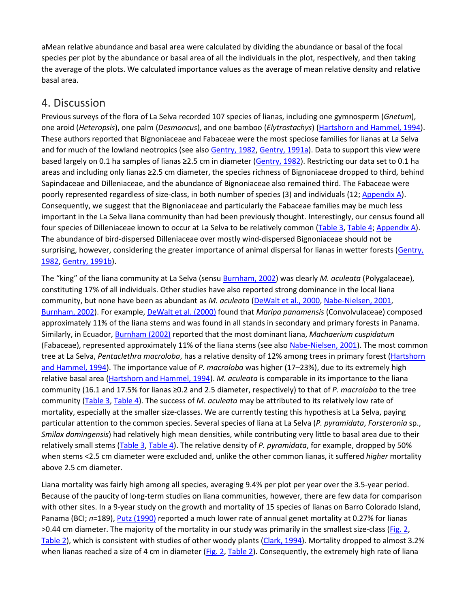aMean relative abundance and basal area were calculated by dividing the abundance or basal of the focal species per plot by the abundance or basal area of all the individuals in the plot, respectively, and then taking the average of the plots. We calculated importance values as the average of mean relative density and relative basal area.

#### 4. Discussion

Previous surveys of the flora of La Selva recorded 107 species of lianas, including one gymnosperm (*Gnetum*), one aroid (*Heteropsis*), one palm (*Desmoncus*), and one bamboo (*Elytrostachys*) [\(Hartshorn and Hammel, 1994\)](https://www.sciencedirect.com/science/article/pii/S0378112703004638?via%3Dihub#BIB14). These authors reported that Bignoniaceae and Fabaceae were the most speciose families for lianas at La Selva and for much of the lowland neotropics (see also [Gentry, 1982,](https://www.sciencedirect.com/science/article/pii/S0378112703004638?via%3Dihub#BIB10) [Gentry, 1991a\)](https://www.sciencedirect.com/science/article/pii/S0378112703004638?via%3Dihub#BIB11). Data to support this view were based largely on 0.1 ha samples of lianas ≥2.5 cm in diameter [\(Gentry, 1982\)](https://www.sciencedirect.com/science/article/pii/S0378112703004638?via%3Dihub#BIB10). Restricting our data set to 0.1 ha areas and including only lianas ≥2.5 cm diameter, the species richness of Bignoniaceae dropped to third, behind Sapindaceae and Dilleniaceae, and the abundance of Bignoniaceae also remained third. The Fabaceae were poorly represented regardless of size-class, in both number of species (3) and individuals (12; [Appendix A\)](https://www.sciencedirect.com/science/article/pii/S0378112703004638?via%3Dihub#APP1). Consequently, we suggest that the Bignoniaceae and particularly the Fabaceae families may be much less important in the La Selva liana community than had been previously thought. Interestingly, our census found all four species of Dilleniaceae known to occur at La Selva to be relatively common [\(Table 3,](https://www.sciencedirect.com/science/article/pii/S0378112703004638?via%3Dihub#TBL3) [Table 4;](https://www.sciencedirect.com/science/article/pii/S0378112703004638?via%3Dihub#TBL4) [Appendix A\)](https://www.sciencedirect.com/science/article/pii/S0378112703004638?via%3Dihub#APP1). The abundance of bird-dispersed Dilleniaceae over mostly wind-dispersed Bignoniaceae should not be surprising, however, considering the greater importance of animal dispersal for lianas in wetter forests [\(Gentry,](https://www.sciencedirect.com/science/article/pii/S0378112703004638?via%3Dihub#BIB10)  [1982,](https://www.sciencedirect.com/science/article/pii/S0378112703004638?via%3Dihub#BIB10) [Gentry, 1991b\)](https://www.sciencedirect.com/science/article/pii/S0378112703004638?via%3Dihub#BIB12).

The "king" of the liana community at La Selva (sens[u Burnham, 2002\)](https://www.sciencedirect.com/science/article/pii/S0378112703004638?via%3Dihub#BIB1) was clearly *M. aculeata* (Polygalaceae), constituting 17% of all individuals. Other studies have also reported strong dominance in the local liana community, but none have been as abundant as *M. aculeata* [\(DeWalt et al., 2000,](https://www.sciencedirect.com/science/article/pii/S0378112703004638?via%3Dihub#BIB8) [Nabe-Nielsen, 2001,](https://www.sciencedirect.com/science/article/pii/S0378112703004638?via%3Dihub#BIB22) [Burnham, 2002\)](https://www.sciencedirect.com/science/article/pii/S0378112703004638?via%3Dihub#BIB1). For example, [DeWalt et al. \(2000\)](https://www.sciencedirect.com/science/article/pii/S0378112703004638?via%3Dihub#BIB8) found that *Maripa panamensis* (Convolvulaceae) composed approximately 11% of the liana stems and was found in all stands in secondary and primary forests in Panama. Similarly, in Ecuador, [Burnham \(2002\)](https://www.sciencedirect.com/science/article/pii/S0378112703004638?via%3Dihub#BIB1) reported that the most dominant liana, *Machaerium cuspidatum* (Fabaceae), represented approximately 11% of the liana stems (see also [Nabe-Nielsen, 2001\)](https://www.sciencedirect.com/science/article/pii/S0378112703004638?via%3Dihub#BIB22). The most common tree at La Selva, *Pentaclethra macroloba*, has a relative density of 12% among trees in primary forest [\(Hartshorn](https://www.sciencedirect.com/science/article/pii/S0378112703004638?via%3Dihub#BIB14)  [and Hammel, 1994\)](https://www.sciencedirect.com/science/article/pii/S0378112703004638?via%3Dihub#BIB14). The importance value of *P. macroloba* was higher (17–23%), due to its extremely high relative basal area [\(Hartshorn and Hammel, 1994\)](https://www.sciencedirect.com/science/article/pii/S0378112703004638?via%3Dihub#BIB14). *M. aculeata* is comparable in its importance to the liana community (16.1 and 17.5% for lianas ≥0.2 and 2.5 diameter, respectively) to that of *P. macroloba* to the tree community [\(Table 3,](https://www.sciencedirect.com/science/article/pii/S0378112703004638?via%3Dihub#TBL3) [Table 4\)](https://www.sciencedirect.com/science/article/pii/S0378112703004638?via%3Dihub#TBL4). The success of *M. aculeata* may be attributed to its relatively low rate of mortality, especially at the smaller size-classes. We are currently testing this hypothesis at La Selva, paying particular attention to the common species. Several species of liana at La Selva (*P. pyramidata*, *Forsteronia* sp., *Smilax domingensis*) had relatively high mean densities, while contributing very little to basal area due to their relatively small stems [\(Table 3,](https://www.sciencedirect.com/science/article/pii/S0378112703004638?via%3Dihub#TBL3) [Table 4\)](https://www.sciencedirect.com/science/article/pii/S0378112703004638?via%3Dihub#TBL4). The relative density of *P. pyramidata*, for example, dropped by 50% when stems <2.5 cm diameter were excluded and, unlike the other common lianas, it suffered *higher* mortality above 2.5 cm diameter.

Liana mortality was fairly high among all species, averaging 9.4% per plot per year over the 3.5-year period. Because of the paucity of long-term studies on liana communities, however, there are few data for comparison with other sites. In a 9-year study on the growth and mortality of 15 species of lianas on Barro Colorado Island, Panama (BCI; *n*=189), [Putz \(1990\)](https://www.sciencedirect.com/science/article/pii/S0378112703004638?via%3Dihub#BIB30) reported a much lower rate of annual genet mortality at 0.27% for lianas >0.44 cm diameter. The majority of the mortality in our study was primarily in the smallest size-class [\(Fig. 2,](https://www.sciencedirect.com/science/article/pii/S0378112703004638?via%3Dihub#FIG2) [Table 2\)](https://www.sciencedirect.com/science/article/pii/S0378112703004638?via%3Dihub#TBL2), which is consistent with studies of other woody plants [\(Clark, 1994\)](https://www.sciencedirect.com/science/article/pii/S0378112703004638?via%3Dihub#BIB2). Mortality dropped to almost 3.2% when lianas reached a size of 4 cm in diameter  $(Fig. 2, Table 2)$  $(Fig. 2, Table 2)$ . Consequently, the extremely high rate of liana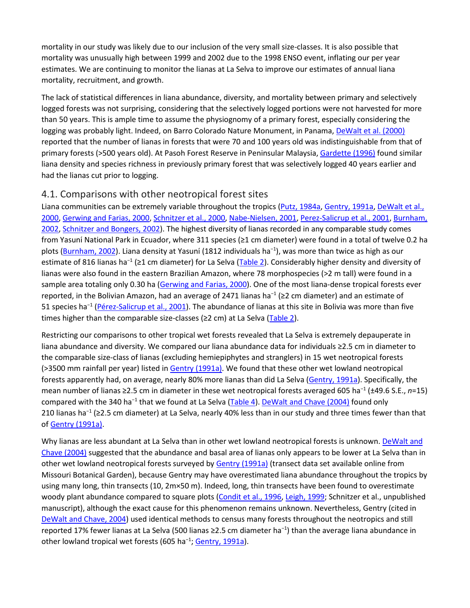mortality in our study was likely due to our inclusion of the very small size-classes. It is also possible that mortality was unusually high between 1999 and 2002 due to the 1998 ENSO event, inflating our per year estimates. We are continuing to monitor the lianas at La Selva to improve our estimates of annual liana mortality, recruitment, and growth.

The lack of statistical differences in liana abundance, diversity, and mortality between primary and selectively logged forests was not surprising, considering that the selectively logged portions were not harvested for more than 50 years. This is ample time to assume the physiognomy of a primary forest, especially considering the logging was probably light. Indeed, on Barro Colorado Nature Monument, in Panama, [DeWalt et al. \(2000\)](https://www.sciencedirect.com/science/article/pii/S0378112703004638?via%3Dihub#BIB8) reported that the number of lianas in forests that were 70 and 100 years old was indistinguishable from that of primary forests (>500 years old). At Pasoh Forest Reserve in Peninsular Malaysia, [Gardette \(1996\)](https://www.sciencedirect.com/science/article/pii/S0378112703004638?via%3Dihub#BIB9) found similar liana density and species richness in previously primary forest that was selectively logged 40 years earlier and had the lianas cut prior to logging.

#### 4.1. Comparisons with other neotropical forest sites

Liana communities can be extremely variable throughout the tropics [\(Putz, 1984a,](https://www.sciencedirect.com/science/article/pii/S0378112703004638?via%3Dihub#BIB28) [Gentry, 1991a,](https://www.sciencedirect.com/science/article/pii/S0378112703004638?via%3Dihub#BIB11) DeWalt et al., [2000,](https://www.sciencedirect.com/science/article/pii/S0378112703004638?via%3Dihub#BIB8) [Gerwing and Farias, 2000,](https://www.sciencedirect.com/science/article/pii/S0378112703004638?via%3Dihub#BIB13) [Schnitzer et al., 2000,](https://www.sciencedirect.com/science/article/pii/S0378112703004638?via%3Dihub#BIB37) [Nabe-Nielsen, 2001,](https://www.sciencedirect.com/science/article/pii/S0378112703004638?via%3Dihub#BIB22) [Perez-Salicrup et al., 2001,](https://www.sciencedirect.com/science/article/pii/S0378112703004638?via%3Dihub#BIB24) [Burnham,](https://www.sciencedirect.com/science/article/pii/S0378112703004638?via%3Dihub#BIB1)  [2002,](https://www.sciencedirect.com/science/article/pii/S0378112703004638?via%3Dihub#BIB1) [Schnitzer and Bongers, 2002\)](https://www.sciencedirect.com/science/article/pii/S0378112703004638?via%3Dihub#BIB35). The highest diversity of lianas recorded in any comparable study comes from Yasuní National Park in Ecuador, where 311 species (≥1 cm diameter) were found in a total of twelve 0.2 ha plots [\(Burnham, 2002\)](https://www.sciencedirect.com/science/article/pii/S0378112703004638?via%3Dihub#BIB1). Liana density at Yasuní (1812 individuals ha<sup>−1</sup>), was more than twice as high as our estimate of 816 lianas ha<sup>-1</sup> (≥1 cm diameter) for La Selva [\(Table 2\)](https://www.sciencedirect.com/science/article/pii/S0378112703004638?via%3Dihub#TBL2). Considerably higher density and diversity of lianas were also found in the eastern Brazilian Amazon, where 78 morphospecies (>2 m tall) were found in a sample area totaling only 0.30 ha [\(Gerwing and Farias, 2000\)](https://www.sciencedirect.com/science/article/pii/S0378112703004638?via%3Dihub#BIB13). One of the most liana-dense tropical forests ever reported, in the Bolivian Amazon, had an average of 2471 lianas ha<sup>-1</sup> (≥2 cm diameter) and an estimate of 51 species ha<sup>−</sup><sup>1</sup> [\(Pérez-Salicrup et al., 2001\)](https://www.sciencedirect.com/science/article/pii/S0378112703004638?via%3Dihub#BIB24). The abundance of lianas at this site in Bolivia was more than five times higher than the comparable size-classes (≥2 cm) at La Selva [\(Table 2\)](https://www.sciencedirect.com/science/article/pii/S0378112703004638?via%3Dihub#TBL2).

Restricting our comparisons to other tropical wet forests revealed that La Selva is extremely depauperate in liana abundance and diversity. We compared our liana abundance data for individuals ≥2.5 cm in diameter to the comparable size-class of lianas (excluding hemiepiphytes and stranglers) in 15 wet neotropical forests (>3500 mm rainfall per year) listed in [Gentry \(1991a\).](https://www.sciencedirect.com/science/article/pii/S0378112703004638?via%3Dihub#BIB11) We found that these other wet lowland neotropical forests apparently had, on average, nearly 80% more lianas than did La Selva [\(Gentry, 1991a\)](https://www.sciencedirect.com/science/article/pii/S0378112703004638?via%3Dihub#BIB11). Specifically, the mean number of lianas ≥2.5 cm in diameter in these wet neotropical forests averaged 605 ha<sup>−</sup><sup>1</sup> (±49.6 S.E., *n*=15) compared with the 340 ha<sup>−</sup><sup>1</sup> that we found at La Selva [\(Table 4\)](https://www.sciencedirect.com/science/article/pii/S0378112703004638?via%3Dihub#TBL4). [DeWalt and Chave \(2004\)](https://www.sciencedirect.com/science/article/pii/S0378112703004638?via%3Dihub#BIB7) found only 210 lianas ha<sup>−</sup><sup>1</sup> (≥2.5 cm diameter) at La Selva, nearly 40% less than in our study and three times fewer than that o[f Gentry \(1991a\).](https://www.sciencedirect.com/science/article/pii/S0378112703004638?via%3Dihub#BIB11)

Why lianas are less abundant at La Selva than in other wet lowland neotropical forests is unknown. DeWalt and [Chave \(2004\)](https://www.sciencedirect.com/science/article/pii/S0378112703004638?via%3Dihub#BIB7) suggested that the abundance and basal area of lianas only appears to be lower at La Selva than in other wet lowland neotropical forests surveyed by [Gentry \(1991a\)](https://www.sciencedirect.com/science/article/pii/S0378112703004638?via%3Dihub#BIB11) (transect data set available online from Missouri Botanical Garden), because Gentry may have overestimated liana abundance throughout the tropics by using many long, thin transects (10, 2m×50 m). Indeed, long, thin transects have been found to overestimate woody plant abundance compared to square plots [\(Condit et al., 1996,](https://www.sciencedirect.com/science/article/pii/S0378112703004638?via%3Dihub#BIB5) [Leigh, 1999;](https://www.sciencedirect.com/science/article/pii/S0378112703004638?via%3Dihub#BIB18) Schnitzer et al., unpublished manuscript), although the exact cause for this phenomenon remains unknown. Nevertheless, Gentry (cited in [DeWalt and Chave, 2004\)](https://www.sciencedirect.com/science/article/pii/S0378112703004638?via%3Dihub#BIB7) used identical methods to census many forests throughout the neotropics and still reported 17% fewer lianas at La Selva (500 lianas ≥2.5 cm diameter ha<sup>-1</sup>) than the average liana abundance in other lowland tropical wet forests (605 ha<sup>-1</sup>[; Gentry, 1991a\)](https://www.sciencedirect.com/science/article/pii/S0378112703004638?via%3Dihub#BIB11).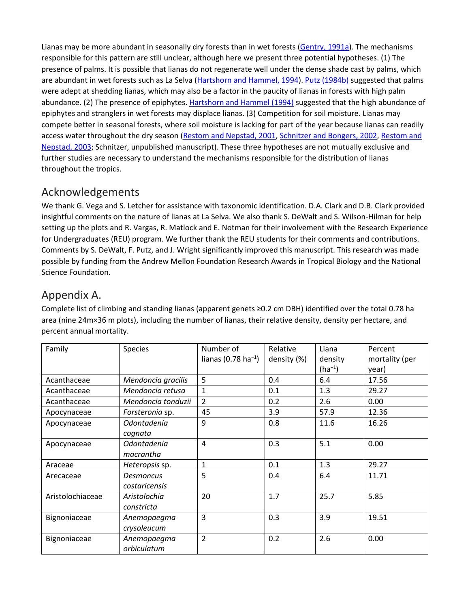Lianas may be more abundant in seasonally dry forests than in wet forests [\(Gentry, 1991a\)](https://www.sciencedirect.com/science/article/pii/S0378112703004638?via%3Dihub#BIB11). The mechanisms responsible for this pattern are still unclear, although here we present three potential hypotheses. (1) The presence of palms. It is possible that lianas do not regenerate well under the dense shade cast by palms, which are abundant in wet forests such as La Selva [\(Hartshorn and Hammel, 1994\)](https://www.sciencedirect.com/science/article/pii/S0378112703004638?via%3Dihub#BIB14)[. Putz \(1984b\)](https://www.sciencedirect.com/science/article/pii/S0378112703004638?via%3Dihub#BIB29) suggested that palms were adept at shedding lianas, which may also be a factor in the paucity of lianas in forests with high palm abundance. (2) The presence of epiphytes[. Hartshorn and Hammel \(1994\)](https://www.sciencedirect.com/science/article/pii/S0378112703004638?via%3Dihub#BIB14) suggested that the high abundance of epiphytes and stranglers in wet forests may displace lianas. (3) Competition for soil moisture. Lianas may compete better in seasonal forests, where soil moisture is lacking for part of the year because lianas can readily access water throughout the dry season [\(Restom and Nepstad, 2001,](https://www.sciencedirect.com/science/article/pii/S0378112703004638?via%3Dihub#BIB32) [Schnitzer and Bongers, 2002,](https://www.sciencedirect.com/science/article/pii/S0378112703004638?via%3Dihub#BIB35) [Restom and](https://www.sciencedirect.com/science/article/pii/S0378112703004638?via%3Dihub#BIB33)  [Nepstad, 2003;](https://www.sciencedirect.com/science/article/pii/S0378112703004638?via%3Dihub#BIB33) Schnitzer, unpublished manuscript). These three hypotheses are not mutually exclusive and further studies are necessary to understand the mechanisms responsible for the distribution of lianas throughout the tropics.

## Acknowledgements

We thank G. Vega and S. Letcher for assistance with taxonomic identification. D.A. Clark and D.B. Clark provided insightful comments on the nature of lianas at La Selva. We also thank S. DeWalt and S. Wilson-Hilman for help setting up the plots and R. Vargas, R. Matlock and E. Notman for their involvement with the Research Experience for Undergraduates (REU) program. We further thank the REU students for their comments and contributions. Comments by S. DeWalt, F. Putz, and J. Wright significantly improved this manuscript. This research was made possible by funding from the Andrew Mellon Foundation Research Awards in Tropical Biology and the National Science Foundation.

## Appendix A.

Complete list of climbing and standing lianas (apparent genets ≥0.2 cm DBH) identified over the total 0.78 ha area (nine 24m×36 m plots), including the number of lianas, their relative density, density per hectare, and percent annual mortality.

| Family           | <b>Species</b>       | Number of<br>lianas (0.78 ha <sup>-1</sup> ) | Relative<br>density (%) | Liana<br>density | Percent<br>mortality (per |
|------------------|----------------------|----------------------------------------------|-------------------------|------------------|---------------------------|
|                  |                      |                                              |                         | $(ha^{-1})$      | year)                     |
| Acanthaceae      | Mendoncia gracilis   | 5                                            | 0.4                     | 6.4              | 17.56                     |
| Acanthaceae      | Mendoncia retusa     | 1                                            | 0.1                     | 1.3              | 29.27                     |
| Acanthaceae      | Mendoncia tonduzii   | $\overline{2}$                               | 0.2                     | 2.6              | 0.00                      |
| Apocynaceae      | Forsteronia sp.      | 45                                           | 3.9                     | 57.9             | 12.36                     |
| Apocynaceae      | Odontadenia          | 9                                            | 0.8                     | 11.6             | 16.26                     |
|                  | cognata              |                                              |                         |                  |                           |
| Apocynaceae      | Odontadenia          | $\overline{4}$                               | 0.3                     | 5.1              | 0.00                      |
|                  | macrantha            |                                              |                         |                  |                           |
| Araceae          | Heteropsis sp.       | $\mathbf{1}$                                 | 0.1                     | 1.3              | 29.27                     |
| Arecaceae        | Desmoncus            | 5                                            | 0.4                     | 6.4              | 11.71                     |
|                  | <i>costaricensis</i> |                                              |                         |                  |                           |
| Aristolochiaceae | Aristolochia         | 20                                           | 1.7                     | 25.7             | 5.85                      |
|                  | constricta           |                                              |                         |                  |                           |
| Bignoniaceae     | Anemopaegma          | 3                                            | 0.3                     | 3.9              | 19.51                     |
|                  | crysoleucum          |                                              |                         |                  |                           |
| Bignoniaceae     | Anemopaegma          | $\overline{2}$                               | 0.2                     | 2.6              | 0.00                      |
|                  | orbiculatum          |                                              |                         |                  |                           |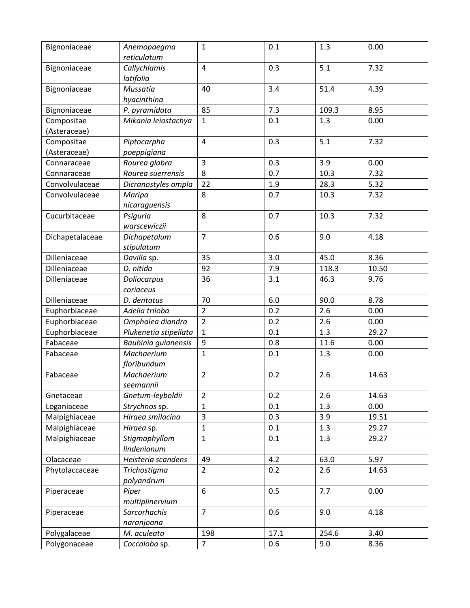| Bignoniaceae    | Anemopaegma<br>reticulatum | $\mathbf{1}$   | 0.1  | 1.3   | 0.00  |
|-----------------|----------------------------|----------------|------|-------|-------|
| Bignoniaceae    | Callychlamis<br>latifolia  | $\overline{4}$ | 0.3  | 5.1   | 7.32  |
| Bignoniaceae    | Mussatia<br>hyacinthina    | 40             | 3.4  | 51.4  | 4.39  |
| Bignoniaceae    | P. pyramidata              | 85             | 7.3  | 109.3 | 8.95  |
| Compositae      | Mikania leiostachya        | $\mathbf{1}$   | 0.1  | 1.3   | 0.00  |
| (Asteraceae)    |                            |                |      |       |       |
| Compositae      | Piptocarpha                | $\overline{4}$ | 0.3  | 5.1   | 7.32  |
| (Asteraceae)    | poeppigiana                |                |      |       |       |
| Connaraceae     | Rourea glabra              | 3              | 0.3  | 3.9   | 0.00  |
| Connaraceae     | Rourea suerrensis          | 8              | 0.7  | 10.3  | 7.32  |
| Convolvulaceae  | Dicranostyles ampla        | 22             | 1.9  | 28.3  | 5.32  |
| Convolvulaceae  | Maripa                     | 8              | 0.7  | 10.3  | 7.32  |
|                 | nicaraguensis              |                |      |       |       |
| Cucurbitaceae   | Psiguria                   | 8              | 0.7  | 10.3  | 7.32  |
|                 | warscewiczii               |                |      |       |       |
| Dichapetalaceae | Dichapetalum               | $\overline{7}$ | 0.6  | 9.0   | 4.18  |
|                 | stipulatum                 |                |      |       |       |
| Dilleniaceae    | Davilla sp.                | 35             | 3.0  | 45.0  | 8.36  |
| Dilleniaceae    | D. nitida                  | 92             | 7.9  | 118.3 | 10.50 |
| Dilleniaceae    | Doliocarpus                | 36             | 3.1  | 46.3  | 9.76  |
|                 | coriaceus                  |                |      |       |       |
| Dilleniaceae    | D. dentatus                | 70             | 6.0  | 90.0  | 8.78  |
| Euphorbiaceae   | Adelia triloba             | $\overline{2}$ | 0.2  | 2.6   | 0.00  |
| Euphorbiaceae   | Omphalea diandra           | $\overline{2}$ | 0.2  | 2.6   | 0.00  |
| Euphorbiaceae   | Plukenetia stipellata      | $\mathbf{1}$   | 0.1  | 1.3   | 29.27 |
| Fabaceae        | Bauhinia guianensis        | 9              | 0.8  | 11.6  | 0.00  |
| Fabaceae        | Machaerium                 | $\mathbf{1}$   | 0.1  | 1.3   | 0.00  |
|                 | floribundum                |                |      |       |       |
| Fabaceae        | Machaerium                 | $\overline{2}$ | 0.2  | 2.6   | 14.63 |
|                 | seemannii                  |                |      |       |       |
| Gnetaceae       | Gnetum-leyboldii           | $\overline{2}$ | 0.2  | 2.6   | 14.63 |
| Loganiaceae     | Strychnos sp.              | $\mathbf{1}$   | 0.1  | 1.3   | 0.00  |
| Malpighiaceae   | Hiraea smilacina           | 3              | 0.3  | 3.9   | 19.51 |
| Malpighiaceae   | Hiraea sp.                 | $\mathbf{1}$   | 0.1  | 1.3   | 29.27 |
| Malpighiaceae   | Stigmaphyllom              | $\mathbf{1}$   | 0.1  | 1.3   | 29.27 |
|                 | lindenianum                |                |      |       |       |
| Olacaceae       | Heisteria scandens         | 49             | 4.2  | 63.0  | 5.97  |
| Phytolaccaceae  | Trichostigma               | $\overline{2}$ | 0.2  | 2.6   | 14.63 |
|                 | polyandrum                 |                |      |       |       |
| Piperaceae      | Piper                      | 6              | 0.5  | 7.7   | 0.00  |
|                 | multiplinervium            |                |      |       |       |
| Piperaceae      | Sarcorhachis               | $\overline{7}$ | 0.6  | 9.0   | 4.18  |
|                 | naranjoana                 |                |      |       |       |
| Polygalaceae    | M. aculeata                | 198            | 17.1 | 254.6 | 3.40  |
| Polygonaceae    | Coccoloba sp.              | $\overline{7}$ | 0.6  | 9.0   | 8.36  |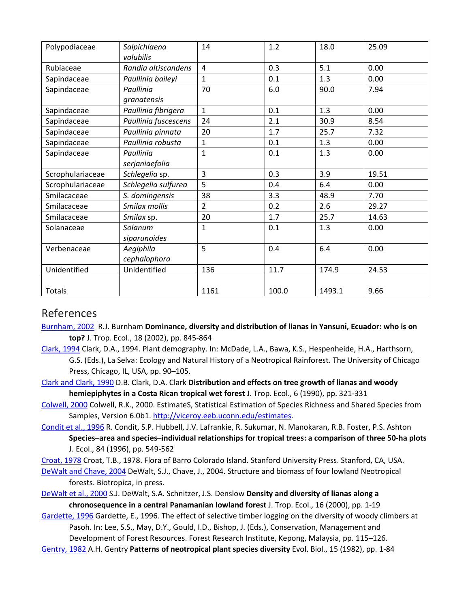| Polypodiaceae    | Salpichlaena         | 14             | 1.2   | 18.0   | 25.09 |
|------------------|----------------------|----------------|-------|--------|-------|
|                  | volubilis            |                |       |        |       |
| Rubiaceae        | Randia altiscandens  | 4              | 0.3   | 5.1    | 0.00  |
| Sapindaceae      | Paullinia baileyi    | $\mathbf{1}$   | 0.1   | 1.3    | 0.00  |
| Sapindaceae      | Paullinia            | 70             | 6.0   | 90.0   | 7.94  |
|                  | granatensis          |                |       |        |       |
| Sapindaceae      | Paullinia fibrigera  | 1              | 0.1   | 1.3    | 0.00  |
| Sapindaceae      | Paullinia fuscescens | 24             | 2.1   | 30.9   | 8.54  |
| Sapindaceae      | Paullinia pinnata    | 20             | 1.7   | 25.7   | 7.32  |
| Sapindaceae      | Paullinia robusta    | $\mathbf{1}$   | 0.1   | 1.3    | 0.00  |
| Sapindaceae      | Paullinia            | $\mathbf{1}$   | 0.1   | 1.3    | 0.00  |
|                  | serjaniaefolia       |                |       |        |       |
| Scrophulariaceae | Schlegelia sp.       | 3              | 0.3   | 3.9    | 19.51 |
| Scrophulariaceae | Schlegelia sulfurea  | 5              | 0.4   | 6.4    | 0.00  |
| Smilacaceae      | S. domingensis       | 38             | 3.3   | 48.9   | 7.70  |
| Smilacaceae      | Smilax mollis        | $\overline{2}$ | 0.2   | 2.6    | 29.27 |
| Smilacaceae      | Smilax sp.           | 20             | 1.7   | 25.7   | 14.63 |
| Solanaceae       | Solanum              | $\mathbf{1}$   | 0.1   | 1.3    | 0.00  |
|                  | siparunoides         |                |       |        |       |
| Verbenaceae      | Aegiphila            | 5              | 0.4   | 6.4    | 0.00  |
|                  | cephalophora         |                |       |        |       |
| Unidentified     | Unidentified         | 136            | 11.7  | 174.9  | 24.53 |
|                  |                      |                |       |        |       |
| Totals           |                      | 1161           | 100.0 | 1493.1 | 9.66  |

### References

[Burnham, 2002](https://www.sciencedirect.com/science/article/pii/S0378112703004638?via%3Dihub#bBIB1) R.J. Burnham **Dominance, diversity and distribution of lianas in Yansunı, Ecuador: who is on ́ top?** J. Trop. Ecol., 18 (2002), pp. 845-864

[Clark, 1994](https://www.sciencedirect.com/science/article/pii/S0378112703004638?via%3Dihub#bBIB2) Clark, D.A., 1994. Plant demography. In: McDade, L.A., Bawa, K.S., Hespenheide, H.A., Harthsorn, G.S. (Eds.), La Selva: Ecology and Natural History of a Neotropical Rainforest. The University of Chicago Press, Chicago, IL, USA, pp. 90–105.

[Clark and Clark, 1990](https://www.sciencedirect.com/science/article/pii/S0378112703004638?via%3Dihub#bBIB3) D.B. Clark, D.A. Clark **Distribution and effects on tree growth of lianas and woody hemiepiphytes in a Costa Rican tropical wet forest** J. Trop. Ecol., 6 (1990), pp. 321-331

[Colwell, 2000](https://www.sciencedirect.com/science/article/pii/S0378112703004638?via%3Dihub#bBIB4) Colwell, R.K., 2000. EstimateS, Statistical Estimation of Species Richness and Shared Species from Samples, Version 6.0b1[. http://viceroy.eeb.uconn.edu/estimates.](http://viceroy.eeb.uconn.edu/estimates)

[Condit et al., 1996](https://www.sciencedirect.com/science/article/pii/S0378112703004638?via%3Dihub#bBIB5) R. Condit, S.P. Hubbell, J.V. Lafrankie, R. Sukumar, N. Manokaran, R.B. Foster, P.S. Ashton

**Species–area and species–individual relationships for tropical trees: a comparison of three 50-ha plots** J. Ecol., 84 (1996), pp. 549-562

[Croat, 1978](https://www.sciencedirect.com/science/article/pii/S0378112703004638?via%3Dihub#bBIB6) Croat, T.B., 1978. Flora of Barro Colorado Island. Stanford University Press. Stanford, CA, USA.

[DeWalt and Chave, 2004](https://www.sciencedirect.com/science/article/pii/S0378112703004638?via%3Dihub#bBIB7) DeWalt, S.J., Chave, J., 2004. Structure and biomass of four lowland Neotropical forests. Biotropica, in press.

[DeWalt et al., 2000](https://www.sciencedirect.com/science/article/pii/S0378112703004638?via%3Dihub#bBIB8) S.J. DeWalt, S.A. Schnitzer, J.S. Denslow **Density and diversity of lianas along a chronosequence in a central Panamanian lowland forest** J. Trop. Ecol., 16 (2000), pp. 1-19

[Gardette, 1996](https://www.sciencedirect.com/science/article/pii/S0378112703004638?via%3Dihub#bBIB9) Gardette, E., 1996. The effect of selective timber logging on the diversity of woody climbers at Pasoh. In: Lee, S.S., May, D.Y., Gould, I.D., Bishop, J. (Eds.), Conservation, Management and

Development of Forest Resources. Forest Research Institute, Kepong, Malaysia, pp. 115–126.

[Gentry, 1982](https://www.sciencedirect.com/science/article/pii/S0378112703004638?via%3Dihub#bBIB10) A.H. Gentry **Patterns of neotropical plant species diversity** Evol. Biol., 15 (1982), pp. 1-84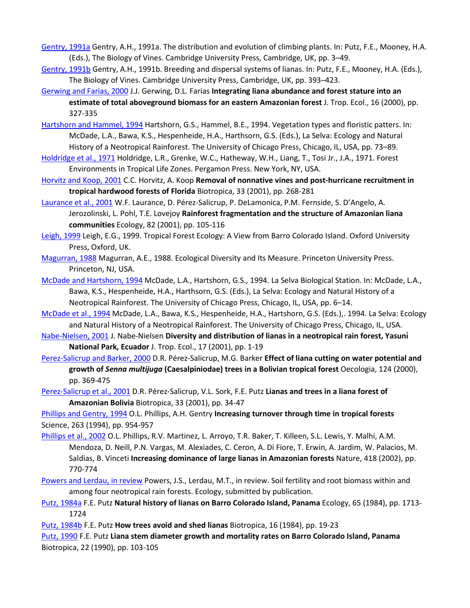[Gentry, 1991a](https://www.sciencedirect.com/science/article/pii/S0378112703004638?via%3Dihub#bBIB11) Gentry, A.H., 1991a. The distribution and evolution of climbing plants. In: Putz, F.E., Mooney, H.A. (Eds.), The Biology of Vines. Cambridge University Press, Cambridge, UK, pp. 3–49.

[Gentry, 1991b](https://www.sciencedirect.com/science/article/pii/S0378112703004638?via%3Dihub#bBIB12) Gentry, A.H., 1991b. Breeding and dispersal systems of lianas. In: Putz, F.E., Mooney, H.A. (Eds.), The Biology of Vines. Cambridge University Press, Cambridge, UK, pp. 393–423.

[Gerwing and Farias, 2000](https://www.sciencedirect.com/science/article/pii/S0378112703004638?via%3Dihub#bBIB13) J.J. Gerwing, D.L. Farias **Integrating liana abundance and forest stature into an estimate of total aboveground biomass for an eastern Amazonian forest** J. Trop. Ecol., 16 (2000), pp. 327-335

[Hartshorn and Hammel, 1994](https://www.sciencedirect.com/science/article/pii/S0378112703004638?via%3Dihub#bBIB14) Hartshorn, G.S., Hammel, B.E., 1994. Vegetation types and floristic patters. In: McDade, L.A., Bawa, K.S., Hespenheide, H.A., Harthsorn, G.S. (Eds.), La Selva: Ecology and Natural History of a Neotropical Rainforest. The University of Chicago Press, Chicago, IL, USA, pp. 73–89.

[Holdridge et al., 1971](https://www.sciencedirect.com/science/article/pii/S0378112703004638?via%3Dihub#bBIB15) Holdridge, L.R., Grenke, W.C., Hatheway, W.H., Liang, T., Tosi Jr., J.A., 1971. Forest Environments in Tropical Life Zones. Pergamon Press. New York, NY, USA.

[Horvitz and Koop, 2001](https://www.sciencedirect.com/science/article/pii/S0378112703004638?via%3Dihub#bBIB16) C.C. Horvitz, A. Koop **Removal of nonnative vines and post-hurricane recruitment in tropical hardwood forests of Florida** Biotropica, 33 (2001), pp. 268-281

[Laurance et al., 2001](https://www.sciencedirect.com/science/article/pii/S0378112703004638?via%3Dihub#bBIB17) W.F. Laurance, D. Pérez-Salicrup, P. DeLamonica, P.M. Fernside, S. D'Angelo, A. Jerozolinski, L. Pohl, T.E. Lovejoy **Rainforest fragmentation and the structure of Amazonian liana communities** Ecology, 82 (2001), pp. 105-116

[Leigh, 1999](https://www.sciencedirect.com/science/article/pii/S0378112703004638?via%3Dihub#bBIB18) Leigh, E.G., 1999. Tropical Forest Ecology: A View from Barro Colorado Island. Oxford University Press, Oxford, UK.

[Magurran, 1988](https://www.sciencedirect.com/science/article/pii/S0378112703004638?via%3Dihub#bBIB19) Magurran, A.E., 1988. Ecological Diversity and Its Measure. Princeton University Press. Princeton, NJ, USA.

[McDade and Hartshorn, 1994](https://www.sciencedirect.com/science/article/pii/S0378112703004638?via%3Dihub#bBIB20) McDade, L.A., Hartshorn, G.S., 1994. La Selva Biological Station. In: McDade, L.A., Bawa, K.S., Hespenheide, H.A., Harthsorn, G.S. (Eds.), La Selva: Ecology and Natural History of a Neotropical Rainforest. The University of Chicago Press, Chicago, IL, USA, pp. 6–14.

[McDade et al., 1994](https://www.sciencedirect.com/science/article/pii/S0378112703004638?via%3Dihub#bBIB21) McDade, L.A., Bawa, K.S., Hespenheide, H.A., Hartshorn, G.S. (Eds.),. 1994. La Selva: Ecology and Natural History of a Neotropical Rainforest. The University of Chicago Press, Chicago, IL, USA.

[Nabe-Nielsen, 2001](https://www.sciencedirect.com/science/article/pii/S0378112703004638?via%3Dihub#bBIB22) J. Nabe-Nielsen **Diversity and distribution of lianas in a neotropical rain forest, Yasunı́ National Park, Ecuador** J. Trop. Ecol., 17 (2001), pp. 1-19

[Perez-Salicrup and Barker, 2000](https://www.sciencedirect.com/science/article/pii/S0378112703004638?via%3Dihub#bBIB23) D.R. Pérez-Salicrup, M.G. Barker **Effect of liana cutting on water potential and growth of** *Senna multijuga* **(Caesalpiniodae) trees in a Bolivian tropical forest** Oecologia, 124 (2000), pp. 369-475

[Perez-Salicrup et al., 2001](https://www.sciencedirect.com/science/article/pii/S0378112703004638?via%3Dihub#bBIB24) D.R. Pérez-Salicrup, V.L. Sork, F.E. Putz **Lianas and trees in a liana forest of Amazonian Bolivia** Biotropica, 33 (2001), pp. 34-47

[Phillips and Gentry, 1994](https://www.sciencedirect.com/science/article/pii/S0378112703004638?via%3Dihub#bBIB25) O.L. Phillips, A.H. Gentry **Increasing turnover through time in tropical forests** Science, 263 (1994), pp. 954-957

[Phillips et al., 2002](https://www.sciencedirect.com/science/article/pii/S0378112703004638?via%3Dihub#bBIB26) O.L. Phillips, R.V. Martinez, L. Arroyo, T.R. Baker, T. Killeen, S.L. Lewis, Y. Malhi, A.M. Mendoza, D. Neill, P.N. Vargas, M. Alexiades, C. Ceron, A. Di Fiore, T. Erwin, A. Jardim, W. Palacios, M. Saldias, B. Vinceti **Increasing dominance of large lianas in Amazonian forests** Nature, 418 (2002), pp. 770-774

[Powers and Lerdau, in review](https://www.sciencedirect.com/science/article/pii/S0378112703004638?via%3Dihub#bBIB27) Powers, J.S., Lerdau, M.T., in review. Soil fertility and root biomass within and among four neotropical rain forests. Ecology, submitted by publication.

[Putz, 1984a](https://www.sciencedirect.com/science/article/pii/S0378112703004638?via%3Dihub#bBIB28) F.E. Putz **Natural history of lianas on Barro Colorado Island, Panama** Ecology, 65 (1984), pp. 1713- 1724

[Putz, 1984b](https://www.sciencedirect.com/science/article/pii/S0378112703004638?via%3Dihub#bBIB29) F.E. Putz **How trees avoid and shed lianas** Biotropica, 16 (1984), pp. 19-23

[Putz, 1990](https://www.sciencedirect.com/science/article/pii/S0378112703004638?via%3Dihub#bBIB30) F.E. Putz **Liana stem diameter growth and mortality rates on Barro Colorado Island, Panama** Biotropica, 22 (1990), pp. 103-105